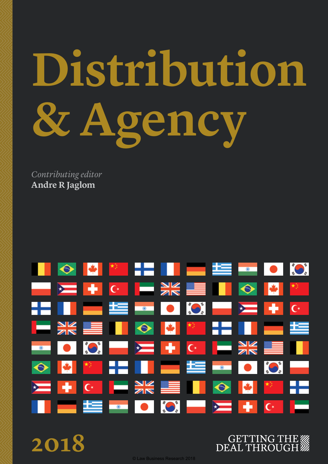# **Distribution & Agency**

*Contributing editor* **Andre R Jaglom**



**2018**



© Law Business Research 2018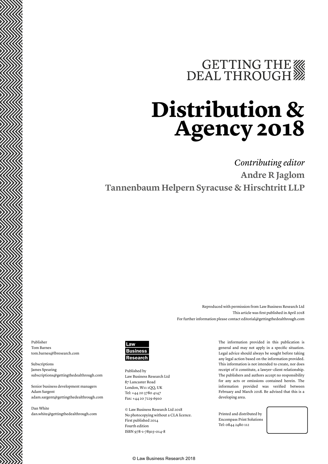# GETTING THE WE DEAL THROUGH

### **Distribution & Agency 2018**

*Contributing editor* **Andre R Jaglom Tannenbaum Helpern Syracuse & Hirschtritt LLP**

> Reproduced with permission from Law Business Research Ltd This article was first published in April 2018 For further information please contact editorial@gettingthedealthrough.com

Publisher Tom Barnes tom.barnes@lbresearch.com

Subscriptions James Spearing subscriptions@gettingthedealthrough.com

Senior business development managers Adam Sargent adam.sargent@gettingthedealthrough.com

Dan White dan.white@gettingthedealthrough.com



Published by Law Business Research Ltd 87 Lancaster Road London, W11 1QQ, UK Tel: +44 20 3780 4147 Fax: +44 20 7229 6910

© Law Business Research Ltd 2018 No photocopying without a CLA licence. First published 2014 Fourth edition ISBN 978-1-78915-014-8

The information provided in this publication is general and may not apply in a specific situation. Legal advice should always be sought before taking any legal action based on the information provided. This information is not intended to create, nor does receipt of it constitute, a lawyer–client relationship. The publishers and authors accept no responsibility for any acts or omissions contained herein. The information provided was verified between February and March 2018. Be advised that this is a developing area.

Printed and distributed by Encompass Print Solutions Tel: 0844 2480 112



© Law Business Research 2018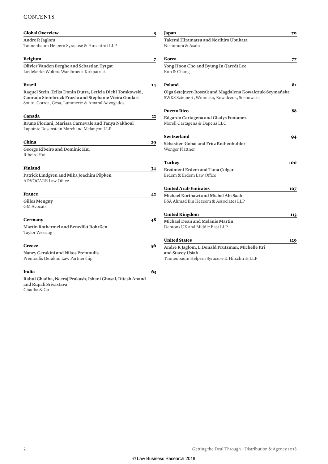#### **CONTENTS**

| <b>Global Overview</b>                                                                                                                                                  | 5  | Japan                                                                                                                 | 70  |
|-------------------------------------------------------------------------------------------------------------------------------------------------------------------------|----|-----------------------------------------------------------------------------------------------------------------------|-----|
| Andre R Jaglom<br>Tannenbaum Helpern Syracuse & Hirschtritt LLP                                                                                                         |    | Takemi Hiramatsu and Norihiro Ubukata<br>Nishimura & Asahi                                                            |     |
| <b>Belgium</b>                                                                                                                                                          | 7  | Korea                                                                                                                 | 77  |
| Olivier Vanden Berghe and Sebastian Tytgat<br>Liedekerke Wolters Waelbroeck Kirkpatrick                                                                                 |    | Yong Hoon Cho and Byung In (Jared) Lee<br>Kim & Chang                                                                 |     |
| <b>Brazil</b>                                                                                                                                                           | 14 | Poland                                                                                                                | 82  |
| Raquel Stein, Erika Donin Dutra, Leticia Diehl Tomkowski,<br>Conrado Steinbruck Frazão and Stephanie Vieira Goulart<br>Souto, Correa, Cesa, Lummertz & Amaral Advogados |    | Olga Sztejnert-Roszak and Magdalena Kowalczuk-Szymańska<br>SWKS Sztejnert, Winnicka, Kowalczuk, Sosnowska             |     |
|                                                                                                                                                                         |    | <b>Puerto Rico</b>                                                                                                    | 88  |
| Canada<br>Bruno Floriani, Marissa Carnevale and Tanya Nakhoul<br>Lapointe Rosenstein Marchand Melançon LLP                                                              | 22 | Edgardo Cartagena and Gladys Fontánez<br>Morell Cartagena & Dapena LLC                                                |     |
|                                                                                                                                                                         |    | Switzerland                                                                                                           | 94  |
| China<br>George Ribeiro and Dominic Hui<br>Ribeiro Hui                                                                                                                  | 29 | Sébastien Gobat and Fritz Rothenbühler<br><b>Wenger Plattner</b>                                                      |     |
|                                                                                                                                                                         |    | Turkey                                                                                                                | 100 |
| Finland                                                                                                                                                                 | 34 | Ercüment Erdem and Tuna Çolgar                                                                                        |     |
| Patrick Lindgren and Mika Joachim Pöpken<br><b>ADVOCARE Law Office</b>                                                                                                  |    | Erdem & Erdem Law Office                                                                                              |     |
|                                                                                                                                                                         |    | United Arab Emirates                                                                                                  | 107 |
| France                                                                                                                                                                  | 42 | Michael Kortbawi and Michel Abi Saab                                                                                  |     |
| Gilles Menguy<br><b>GM</b> Avocats                                                                                                                                      |    | BSA Ahmad Bin Hezeem & Associates LLP                                                                                 |     |
|                                                                                                                                                                         |    | <b>United Kingdom</b>                                                                                                 | 113 |
| Germany                                                                                                                                                                 | 48 | Michael Dean and Melanie Martin                                                                                       |     |
| Martin Rothermel and Benedikt Rohrßen<br>Taylor Wessing                                                                                                                 |    | Dentons UK and Middle East LLP                                                                                        |     |
|                                                                                                                                                                         |    | <b>United States</b>                                                                                                  | 129 |
| Greece<br>Nancy Gerakini and Nikos Prentoulis<br>Prentoulis Gerakini Law Partnership                                                                                    | 56 | Andre R Jaglom, L Donald Prutzman, Michelle Itri<br>and Stacey Usiak<br>Tannenbaum Helpern Syracuse & Hirschtritt LLP |     |
| India                                                                                                                                                                   | 63 |                                                                                                                       |     |
| Rahul Chadha, Neeraj Prakash, Ishani Ghosal, Ritesh Anand<br>and Rupali Srivastava<br>Chadha & Co                                                                       |    |                                                                                                                       |     |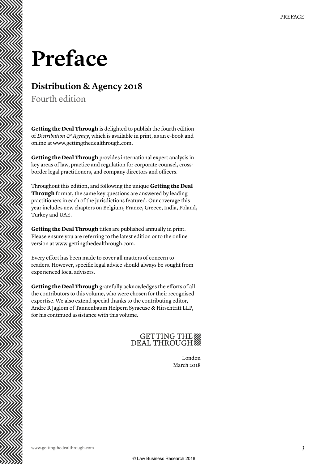## **Preface**

### **Distribution & Agency 2018**

Fourth edition

**Getting the Deal Through** is delighted to publish the fourth edition of *Distribution*  $\mathcal O$  *Agency*, which is available in print, as an e-book and online at www.gettingthedealthrough.com.

**Getting the Deal Through** provides international expert analysis in key areas of law, practice and regulation for corporate counsel, crossborder legal practitioners, and company directors and officers.

Throughout this edition, and following the unique **Getting the Deal Through** format, the same key questions are answered by leading practitioners in each of the jurisdictions featured. Our coverage this year includes new chapters on Belgium, France, Greece, India, Poland, Turkey and UAE.

**Getting the Deal Through** titles are published annually in print. Please ensure you are referring to the latest edition or to the online version at www.gettingthedealthrough.com.

Every effort has been made to cover all matters of concern to readers. However, specific legal advice should always be sought from experienced local advisers.

**Getting the Deal Through** gratefully acknowledges the efforts of all the contributors to this volume, who were chosen for their recognised expertise. We also extend special thanks to the contributing editor, Andre R Jaglom of Tannenbaum Helpern Syracuse & Hirschtritt LLP, for his continued assistance with this volume.

### GETTING THE

London March 2018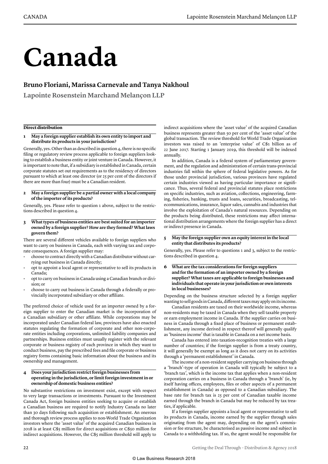# **Canada**

#### **Bruno Floriani, Marissa Carnevale and Tanya Nakhoul**

**Lapointe Rosenstein Marchand Melançon LLP**

#### **Direct distribution**

#### **1 May a foreign supplier establish its own entity to import and distribute its products in your jurisdiction?**

Generally, yes. Other than as described in question 4, there is no specific filing or regulatory review process applicable to foreign suppliers looking to establish a business entity or joint venture in Canada. However, it is important to note that, if a subsidiary is established in Canada, certain corporate statutes set out requirements as to the residency of directors pursuant to which at least one director (or 25 per cent of the directors if there are more than four) must be a Canadian resident.

#### **2 May a foreign supplier be a partial owner with a local company of the importer of its products?**

Generally, yes. Please refer to question 1 above, subject to the restrictions described in question 4.

#### **3 What types of business entities are best suited for an importer owned by a foreign supplier? How are they formed? What laws govern them?**

There are several different vehicles available to foreign suppliers who want to carry on business in Canada, each with varying tax and corporate consequences. A foreign supplier may:

- choose to contract directly with a Canadian distributor without carrying out business in Canada directly;
- opt to appoint a local agent or representative to sell its products in Canada;
- opt to carry on business in Canada using a Canadian branch or division; or
- choose to carry out business in Canada through a federally or provincially incorporated subsidiary or other affiliate.

The preferred choice of vehicle used for an importer owned by a foreign supplier to enter the Canadian market is the incorporation of a Canadian subsidiary or other affiliate. While corporations may be incorporated under Canadian federal law, provinces have also enacted statutes regulating the formation of corporate and other non-corporate entities including corporations, unlimited liability companies and partnerships. Business entities must usually register with the relevant corporate or business registry of each province in which they want to conduct business, pay the prescribed fees and file corporate or business registry forms containing basic information about the business and its ownership and management.

#### **4 Does your jurisdiction restrict foreign businesses from operating in the jurisdiction, or limit foreign investment in or ownership of domestic business entities?**

No substantive restrictions on investment exist, except with respect to very large transactions or investments. Pursuant to the Investment Canada Act, foreign business entities seeking to acquire or establish a Canadian business are required to notify Industry Canada no later than 30 days following such acquisition or establishment. An onerous and thorough review process applies to non-World Trade Organization investors where the 'asset value' of the acquired Canadian business in 2018 is at least C\$5 million for direct acquisitions or C\$50 million for indirect acquisitions. However, the C\$5 million threshold will apply to

indirect acquisitions where the 'asset value' of the acquired Canadian business represents greater than 50 per cent of the 'asset value' of the global transaction. The review threshold for World Trade Organization investors was raised to an 'enterprise value' of C\$1 billion as of 22 June 2017. Starting 1 January 2019, this threshold will be indexed annually.

In addition, Canada is a federal system of parliamentary government, and the regulation and administration of certain trans-provincial industries fall within the sphere of federal legislative powers. As for those under provincial jurisdiction, various provinces have regulated certain industries viewed as having particular importance or significance. Thus, several federal and provincial statutes place restrictions on specific industries, such as aviation, collections, engineering, farming, fisheries, banking, trusts and loans, securities, broadcasting, telecommunications, insurance, liquor sales, cannabis and industries that involve the exploitation of Canada's natural resources. Depending on the products being distributed, these restrictions may affect international distribution arrangements where the foreign supplier has a direct or indirect presence in Canada.

#### **5 May the foreign supplier own an equity interest in the local entity that distributes its products?**

Generally, yes. Please refer to questions 1 and 3, subject to the restrictions described in question 4.

**6 What are the tax considerations for foreign suppliers and for the formation of an importer owned by a foreign supplier? What taxes are applicable to foreign businesses and individuals that operate in your jurisdiction or own interests in local businesses?** 

Depending on the business structure selected by a foreign supplier wanting to sell goods in Canada, different taxes may apply on its income.

Canadian residents are taxed on their worldwide income, whereas non-residents may be taxed in Canada when they sell taxable property or earn employment income in Canada. If the supplier carries on business in Canada through a fixed place of business or permanent establishment, any income derived in respect thereof will generally qualify as 'business income' that is taxable in Canada on a net income basis.

Canada has entered into taxation-recognition treaties with a large number of countries; if the foreign supplier is from a treaty country, it will generally be exempt as long as it does not carry on its activities through a 'permanent establishment' in Canada.

The income of a non-resident supplier carrying on business through a 'branch'-type of operation in Canada will typically be subject to a 'branch tax', which is the income tax that applies when a non-resident corporation carries on a business in Canada through a 'branch' (ie, by itself having offices, employees, files or other aspects of a permanent establishment in Canada) as opposed to a Canadian subsidiary. The base rate for branch tax is 25 per cent of Canadian taxable income earned through the branch in Canada but may be reduced by tax treaties, if applicable.

If a foreign supplier appoints a local agent or representative to sell its products in Canada, income earned by the supplier through sales originating from the agent may, depending on the agent's commission or fee structure, be characterised as passive income and subject in Canada to a withholding tax. If so, the agent would be responsible for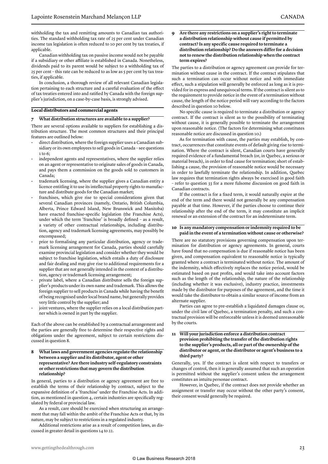withholding the tax and remitting amounts to Canadian tax authorities. The standard withholding tax rate of 25 per cent under Canadian income tax legislation is often reduced to 10 per cent by tax treaties, if applicable.

Canadian withholding tax on passive income would not be payable if a subsidiary or other affiliate is established in Canada. Nonetheless, dividends paid to its parent would be subject to a withholding tax of 25 per cent – this rate can be reduced to as low as 5 per cent by tax treaties, if applicable.

In conclusion, a thorough review of all relevant Canadian legislation pertaining to each structure and a careful evaluation of the effect of tax treaties entered into and ratified by Canada with the foreign supplier's jurisdiction, on a case-by-case basis, is strongly advised.

#### **Local distributors and commercial agents**

#### **7 What distribution structures are available to a supplier?**

There are several options available to suppliers for establishing a distribution structure. The most common structures and their principal features are outlined below:

- direct distribution, where the foreign supplier uses a Canadian subsidiary or its own employees to sell goods in Canada – see questions 1 to 6;
- independent agents and representatives, where the supplier relies on an agent or representative to originate sales of goods in Canada, and pays them a commission on the goods sold to customers in Canada;
- trademark licensing, where the supplier gives a Canadian entity a licence entitling it to use its intellectual property rights to manufacture and distribute goods for the Canadian market;
- franchises, which give rise to special considerations given that several Canadian provinces (namely, Ontario, British Columbia, Alberta, Prince Edward Island, New Brunswick and Manitoba) have enacted franchise-specific legislation (the Franchise Acts), under which the term 'franchise' is broadly defined – as a result, a variety of other contractual relationships, including distribution, agency and trademark licensing agreements, may possibly be encompassed;
- prior to formalising any particular distribution, agency or trademark licensing arrangement for Canada, parties should carefully examine provincial legislation and consider whether they would be subject to franchise legislation, which entails a duty of disclosure and fair dealing and may give rise to additional requirements for a supplier that are not generally intended in the context of a distribution, agency or trademark licensing arrangement;
- private label, where a Canadian distributor sells the foreign supplier's products under its own name and trademark. This allows the foreign supplier to sell products in Canada while having the benefit of being recognised under local brand name, but generally provides very little control by the supplier; and
- joint ventures, where the supplier relies on a local distribution partner which is owned in part by the supplier.

Each of the above can be established by a contractual arrangement and the parties are generally free to determine their respective rights and obligations under the agreement, subject to certain restrictions discussed in question 8.

**8 What laws and government agencies regulate the relationship between a supplier and its distributor, agent or other representative? Are there industry self-regulatory constraints or other restrictions that may govern the distribution relationship?**

In general, parties to a distribution or agency agreement are free to establish the terms of their relationship by contract, subject to the expansive definition of a 'franchise' under the Franchise Acts. In addition, as mentioned in question 4, certain industries are specifically regulated by federal or provincial law.

As a result, care should be exercised when structuring an arrangement that may fall within the ambit of the Franchise Acts or that, by its nature, may be subject to restrictions in a regulated industry.

Additional restrictions arise as a result of competition laws, as discussed in greater detail in questions 14 to 22.

**9 Are there any restrictions on a supplier's right to terminate a distribution relationship without cause if permitted by contract? Is any specific cause required to terminate a distribution relationship? Do the answers differ for a decision not to renew the distribution relationship when the contract term expires?** 

The parties to a distribution or agency agreement can provide for termination without cause in the contract. If the contract stipulates that such a termination can occur without notice and with immediate effect, such a stipulation will generally be enforced as long as it is provided for in express and unequivocal terms. If the contract is silent as to the requirement to provide notice in the event of a termination without cause, the length of the notice period will vary according to the factors described in question 10 below.

No specific cause is required to terminate a distribution or agency contract. If the contract is silent as to the possibility of terminating without cause, it is generally possible to terminate the arrangement upon reasonable notice. (The factors for determining what constitutes reasonable notice are discussed in question 10.)

As for termination with cause, the parties may establish, by contract, occurrences that constitute events of default giving rise to termination. Where the contract is silent, Canadian courts have generally required evidence of a fundamental breach (or, in Quebec, a serious or material breach), in order to find cause for termination; short of establishing a cause, the provision of reasonable notice would be necessary in order to lawfully terminate the relationship. In addition, Quebec law requires that termination rights always be exercised in good faith – refer to question 33 for a more fulsome discussion on good faith in Canadian contracts.

If the contract is for a fixed term, it would naturally expire at the end of the term and there would not generally be any compensation payable at that time. However, if the parties choose to continue their relationship after the end of the term, it may constitute an implicit renewal or an extension of the contract for an indeterminate term.

#### **10 Is any mandatory compensation or indemnity required to be paid in the event of a termination without cause or otherwise?**

There are no statutory provisions governing compensation upon termination for distribution or agency agreements. In general, courts have found that no compensation is due if reasonable notice has been given, and compensation equivalent to reasonable notice is typically granted where a contract is terminated without notice. The amount of the indemnity, which effectively replaces the notice period, would be estimated based on past profits, and would take into account factors such as the length of the relationship, the nature of the relationship (including whether it was exclusive), industry practice, investments made by the distributor for purposes of the agreement, and the time it would take the distributor to obtain a similar source of income from an alternate supplier.

Parties can agree to pre-establish a liquidated damages clause or, under the civil law of Quebec, a termination penalty, and such a contractual provision will be enforceable unless it is deemed unreasonable by the courts.

**11 Will your jurisdiction enforce a distribution contract provision prohibiting the transfer of the distribution rights to the supplier's products, all or part of the ownership of the distributor or agent, or the distributor or agent's business to a third party?**

Generally, yes. If the contract is silent with respect to transfers or changes of control, then it is generally assumed that such an operation is permitted without the supplier's consent unless the arrangement constitutes an intuitu personae contract.

However, in Quebec, if the contract does not provide whether an assignment or transfer may occur without the other party's consent, their consent would generally be required.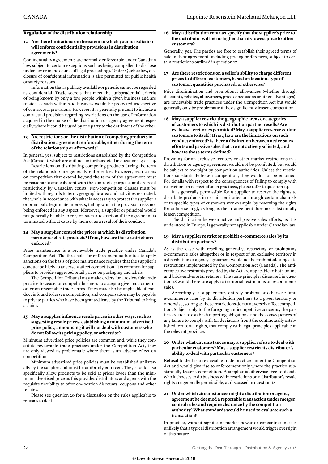#### **Regulation of the distribution relationship**

#### **12 Are there limitations on the extent to which your jurisdiction will enforce confidentiality provisions in distribution agreements?**

Confidentiality agreements are normally enforceable under Canadian law, subject to certain exceptions such as being compelled to disclose under law or in the course of legal proceedings. Under Quebec law, disclosure of confidential information is also permitted for public health or safety reasons.

Information that is publicly available or generic cannot be regarded as confidential. Trade secrets that meet the jurisprudential criteria of being known by only a few people within a given business and are treated as such within said business would be protected irrespective of contractual provisions. However, it is generally prudent to include a contractual provision regarding restrictions on the use of information acquired in the course of the distribution or agency agreement, especially where it could be used by one party to the detriment of the other.

#### **13 Are restrictions on the distribution of competing products in distribution agreements enforceable, either during the term of the relationship or afterwards?**

In general, yes, subject to restrictions established by the Competition Act (Canada), which are outlined in further detail in questions 14 et seq.

Restrictions on distributing competing products during the term of the relationship are generally enforceable. However, restrictions on competition that extend beyond the term of the agreement must be reasonable and coherent with the contract's purpose, and are read restrictively by Canadian courts. Non-competition clauses must be limited with regards to term, geographic area and activities restricted, the whole in accordance with what is necessary to protect the supplier's or principal's legitimate interests, failing which the provision risks not being enforced in any aspect. Moreover, a supplier or principal would not generally be able to rely on such a restriction if the agreement is terminated without cause by them or as a result of their conduct.

#### **14 May a supplier control the prices at which its distribution partner resells its products? If not, how are these restrictions enforced?**

Price maintenance is a reviewable trade practice under Canada's Competition Act. The threshold for enforcement authorities to apply sanctions on the basis of price maintenance requires that the supplier's conduct be likely to adversely affect competition. It is common for suppliers to provide suggested retail prices on packaging and labels.

The Competition Tribunal may make orders for a reviewable trade practice to cease, or compel a business to accept a given customer or order on reasonable trade terms. Fines may also be applicable if conduct is found to lessen competition, and compensation may be payable to private parties who have been granted leave by the Tribunal to bring a claim.

#### **15 May a supplier influence resale prices in other ways, such as suggesting resale prices, establishing a minimum advertised price policy, announcing it will not deal with customers who do not follow its pricing policy, or otherwise?**

Minimum advertised price policies are common and, while they constitute reviewable trade practices under the Competition Act, they are only viewed as problematic where there is an adverse effect on competition.

Minimum advertised price policies must be established unilaterally by the supplier and must be uniformly enforced. They should also specifically allow products to be sold at prices lower than the minimum advertised price as this provides distributors and agents with the requisite flexibility to offer on-location discounts, coupons and other rebates.

Please see question 20 for a discussion on the rules applicable to refusals to deal.

#### **16 May a distribution contract specify that the supplier's price to the distributor will be no higher than its lowest price to other customers?**

Generally, yes. The parties are free to establish their agreed terms of sale in their agreement, including pricing preferences, subject to certain restrictions outlined in question 17.

#### **17 Are there restrictions on a seller's ability to charge different prices to different customers, based on location, type of customer, quantities purchased, or otherwise?**

Price discrimination and promotional allowances (whether through discounts, rebates, allowances, price concessions or other advantages), are reviewable trade practices under the Competition Act but would generally only be problematic if they significantly lessen competition.

**18 May a supplier restrict the geographic areas or categories of customers to which its distribution partner resells? Are exclusive territories permitted? May a supplier reserve certain customers to itself ? If not, how are the limitations on such conduct enforced? Is there a distinction between active sales efforts and passive sales that are not actively solicited, and how are those terms defined?**

Providing for an exclusive territory or other market restrictions in a distribution or agency agreement would not be prohibited, but would be subject to oversight by competition authorities. Unless the restrictions substantially lessen competition, they would not be enjoined. For details with respect to the consequences of failing to comply with restrictions in respect of such practices, please refer to question 14.

It is generally permissible for a supplier to reserve the rights to distribute products in certain territories or through certain channels or to specific types of customers (for example, by reserving the rights for online selling), as long as the arrangement does not substantially lessen competition.

The distinction between active and passive sales efforts, as it is understood in Europe, is generally not applicable under Canadian law.

#### **19 May a supplier restrict or prohibit e-commerce sales by its distribution partners?**

As is the case with reselling generally, restricting or prohibiting e-commerce sales altogether or in respect of an exclusive territory in a distribution or agency agreement would not be prohibited, subject to restrictions implemented by the Competition Act (Canada). The anticompetitive restraints provided by the Act are applicable to both online and brick-and-mortar retailers. The same principles discussed in question 18 would therefore apply to territorial restrictions on e-commerce sales.

Accordingly, a supplier may entirely prohibit or otherwise limit e-commerce sales by its distribution partners to a given territory or otherwise, so long as these restrictions do not adversely affect competition. Subject only to the foregoing anticompetitive concerns, the parties are free to establish reporting obligations, and the consequences of any failure to comply with (or deviations from) the contractually established territorial rights, that comply with legal principles applicable in the relevant province.

#### **20 Under what circumstances may a supplier refuse to deal with particular customers? May a supplier restrict its distributor's ability to deal with particular customers?**

Refusal to deal is a reviewable trade practice under the Competition Act and would give rise to enforcement only where the practice substantially lessens competition. A supplier is otherwise free to decide who it chooses to do business with; restrictions on a distributor's resale rights are generally permissible, as discussed in question 18.

#### **21 Under which circumstances might a distribution or agency agreement be deemed a reportable transaction under merger control rules and require clearance by the competition authority? What standards would be used to evaluate such a transaction?**

In practice, without significant market power or concentration, it is unlikely that a typical distribution arrangement would trigger oversight of this nature.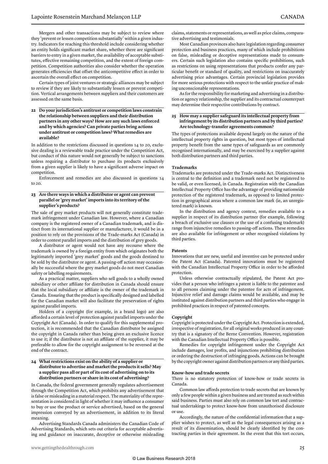Mergers and other transactions may be subject to review where they 'prevent or lessen competition substantially' within a given industry. Indicators for reaching this threshold include considering whether an entity holds significant market share, whether there are significant barriers to entry in a given market, the availability of acceptable substitutes, effective remaining competition, and the extent of foreign competition. Competition authorities also consider whether the operation generates efficiencies that offset the anticompetitive effect in order to ascertain the overall effect on competition.

Certain types of joint ventures or strategic alliances may be subject to review if they are likely to substantially lessen or prevent competition. Vertical arrangements between suppliers and their customers are assessed on the same basis.

**22 Do your jurisdiction's antitrust or competition laws constrain the relationship between suppliers and their distribution partners in any other ways? How are any such laws enforced and by which agencies? Can private parties bring actions under antitrust or competition laws? What remedies are available?**

In addition to the restrictions discussed in questions 14 to 20, exclusive dealing is a reviewable trade practice under the Competition Act, but conduct of this nature would not generally be subject to sanctions unless requiring a distributor to purchase its products exclusively from a given supplier is likely to have a significant adverse impact on competition.

Enforcement and remedies are also discussed in questions 14 to 20.

#### **23 Are there ways in which a distributor or agent can prevent parallel or 'grey market' imports into its territory of the supplier's products?**

The sale of grey market products will not generally constitute trademark infringement under Canadian law. However, where a Canadian company is the registered owner of a Canadian trademark, and is distinct from its international supplier or manufacturer, it would be in a position to rely on the provisions of the Trade-marks Act (Canada) in order to contest parallel imports and the distribution of grey goods.

A distributor or agent would not have any recourse where the trademark is owned by a foreign entity from which originates both the legitimately imported 'grey market' goods and the goods destined to be sold by the distributor or agent. A passing-off action may occasionally be successful where the grey market goods do not meet Canadian safety or labelling requirements.

As a practical matter, suppliers who sell goods to a wholly owned subsidiary or other affiliate for distribution in Canada should ensure that the local subsidiary or affiliate is the owner of the trademark in Canada. Ensuring that the product is specifically designed and labelled for the Canadian market will also facilitate the preservation of rights against parallel imports.

Holders of a copyright (for example, in a brand logo) are also afforded a certain level of protection against parallel imports under the Copyright Act (Canada). In order to qualify for this supplemental protection, it is recommended that the Canadian distributor be assigned the copyright in Canada rather than being given an exclusive licence to use it; if the distributor is not an affiliate of the supplier, it may be preferable to allow for the copyright assignment to be reversed at the end of the contract.

#### **24 What restrictions exist on the ability of a supplier or distributor to advertise and market the products it sells? May a supplier pass all or part of its cost of advertising on to its distribution partners or share in its cost of advertising?**

In Canada, the federal government generally regulates advertisement through the Competition Act, which prohibits any advertisement that is false or misleading in a material respect. The materiality of the representation is considered in light of whether it may influence a consumer to buy or use the product or service advertised, based on the general impression conveyed by an advertisement, in addition to its literal meaning.

Advertising Standards Canada administers the Canadian Code of Advertising Standards, which sets out criteria for acceptable advertising and guidance on inaccurate, deceptive or otherwise misleading

claims, statements or representations, as well as price claims, comparative advertising and testimonials.

Most Canadian provinces also have legislation regarding consumer protection and business practices, many of which include prohibitions on false, misleading or deceptive representations made to consumers. Certain such legislation also contains specific prohibitions, such as restrictions on using representations that products confer any particular benefit or standard of quality, and restrictions on inaccurately advertising price advantages. Certain provincial legislation provides for more serious protections with respect to the unfair practice of making unconscionable representations.

As for the responsibility for marketing and advertising in a distribution or agency relationship, the supplier and its contractual counterpart may determine their respective contributions by contract.

#### **25 How may a supplier safeguard its intellectual property from infringement by its distribution partners and by third parties? Are technology-transfer agreements common?**

The types of protections available depend largely on the nature of the intellectual property rights in question, but most types of intellectual property benefit from the same types of safeguards as are commonly recognised internationally, and may be exercised by a supplier against both distribution partners and third parties.

#### **Trademarks**

Trademarks are protected under the Trade-marks Act. Distinctiveness is central to the definition and a trademark need not be registered to be valid, or even licensed, in Canada. Registration with the Canadian Intellectual Property Office has the advantage of providing nationwide protection of the registered trademark, as opposed to limited protection in geographical areas where a common law mark (ie, an unregistered mark) is known.

In the distribution and agency context, remedies available to a supplier in respect of its distribution partner (for example, following a breach of exclusive use clauses or the use of a confusing trademark) range from injunctive remedies to passing-off actions. These remedies are also available for infringement or other recognised violations by third parties.

#### **Patents**

Innovations that are new, useful and inventive can be protected under the Patent Act (Canada). Patented innovations must be registered with the Canadian Intellectual Property Office in order to be afforded protection.

Unless otherwise contractually stipulated, the Patent Act provides that a person who infringes a patent is liable to the patentee and to all persons claiming under the patentee for acts of infringement. Injunctive relief and damage claims would be available, and may be instituted against distribution partners and third parties who engage in prohibited practices in respect of patented concepts.

#### **Copyright**

Copyright is protected under the Copyright Act. Protection is extended, irrespective of registration, for all original works produced in any country that is a signatory of the Berne Convention. However, registration with the Canadian Intellectual Property Office is possible.

Remedies for copyright infringement under the Copyright Act include damages, lost profits, and injunctions prohibiting distribution or ordering the destruction of infringing goods. Actions can be brought by the copyright owner against distribution partners or any third parties.

#### **Know-how and trade secrets**

There is no statutory protection of know-how or trade secrets in Canada.

Common law affords protection to trade secrets that are known by only a few people within a given business and are treated as such within said business. Parties must also rely on common law tort and contractual undertakings to protect know-how from unauthorised disclosure or use.

Accordingly, the nature of the confidential information that a supplier wishes to protect, as well as the legal consequences arising as a result of its dissemination, should be clearly identified by the contracting parties in their agreement. In the event that this tort occurs,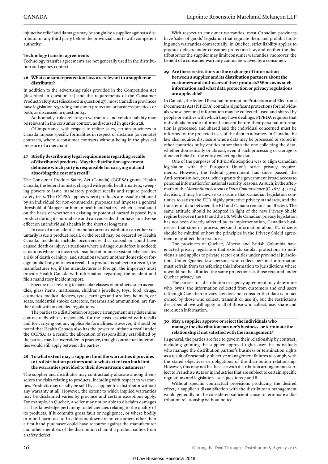injunctive relief and damages may be sought by a supplier against a distributor or any third party before the provincial courts with competent authority.

#### **Technology transfer agreements**

Technology transfer agreements are not generally used in the distribution and agency context.

#### **26 What consumer protection laws are relevant to a supplier or distributor?**

In addition to the advertising rules provided in the Competition Act (described in question 24) and the requirements of the Consumer Product Safety Act (discussed in question 27), most Canadian provinces have legislation regarding consumer protection or business practices or both, as discussed in question 24.

Additionally, rules relating to warranties and vendor liability may be relevant in the consumer context, as discussed in question 28.

Of importance with respect to online sales, certain provinces in Canada impose specific formalities in respect of distance (or remote) contracts, where a consumer contracts without being in the physical presence of a merchant.

#### **27 Briefly describe any legal requirements regarding recalls of distributed products. May the distribution agreement delineate which party is responsible for carrying out and absorbing the cost of a recall?**

The Consumer Product Safety Act (Canada) (CCPSA) grants Health Canada, the federal ministry charged with public health matters, sweeping powers to issue mandatory product recalls and require product safety tests. The CCPSA applies where products are usually obtained by an individual for non-commercial purposes and imposes a general threshold of 'danger for human health and safety', which is evaluated on the basis of whether an existing or potential hazard is posed by a product during its normal use and can cause death or have an adverse effect on an individual's health in the short or long term.

In case of an incident, a manufacturer or distributor can either voluntarily issue a product recall, or the recall may be ordered by Health Canada. Incidents include: occurrences that caused or could have caused death or injury; situations where a dangerous defect is noticed; situations where an incorrect, insufficient or non-existent label creates a risk of death or injury; and situations where another domestic or foreign public body initiates a recall. If a product is subject to a recall, the manufacturer (or, if the manufacturer is foreign, the importer) must provide Health Canada with information regarding the incident and file a mandatory incident report.

Specific risks relating to particular classes of products, such as candles, glass items, mattresses, children's jewellery, toys, food, drugs, cosmetics, medical devices, tyres, carriages and strollers, helmets, car seats, residential smoke detectors, firearms and ammunition, are further dealt with in detailed regulations.

The parties to a distribution or agency arrangement may determine contractually who is responsible for the costs associated with recalls and for carrying out any applicable formalities. However, it should be noted that Health Canada also has the power to initiate a recall under the CCPSA; as a result, the allocation of responsibility established by the parties may be overridden in practice, though contractual indemnities would still apply between the parties.

#### **28 To what extent may a supplier limit the warranties it provides to its distribution partners and to what extent can both limit the warranties provided to their downstream customers?**

The supplier and distributor may contractually allocate among themselves the risks relating to products, including with respect to warranties. Products may usually be sold by a supplier to a distributor without any warranty at all. However, the extent to which implied warranties may be disclaimed varies by province and certain exceptions apply. For example, in Quebec, a seller may not be able to disclaim damages if it has knowledge pertaining to deficiencies relating to the quality of its products, if it commits gross fault or negligence, or where bodily or moral harm occur. In addition, downstream customers other than a first-hand purchaser could have recourse against the manufacturer and other members of the distribution chain if a product suffers from a safety defect.

With respect to consumer warranties, most Canadian provinces have 'sales of goods' legislation that regulate them and prohibit limiting such warranties contractually. In Quebec, strict liability applies to product defects under consumer protection law, and neither the distributor nor the supplier may limit consumer warranties; moreover, the benefit of a consumer warranty cannot be waived by a consumer.

#### **29 Are there restrictions on the exchange of information between a supplier and its distribution partners about the customers and end-users of their products? Who owns such information and what data protection or privacy regulations are applicable?**

In Canada, the federal Personal Information Protection and Electronic Documents Act (PIPEDA) contains significant protections for individuals whose personal information may be collected, used and shared by people or entities with which they have dealings. PIPEDA requires that individuals provide informed consent before their personal information is processed and shared and the individual concerned must be informed of the projected uses of the data in advance. In Canada, the law also requires disclosure where data may be processed or stored in other countries or by entities other than the one collecting the data, whether domestically or abroad, even if such processing or storage is done on behalf of the entity collecting the data.

One of the purposes of PIPEDA's adoption was to align Canadian legislation with the European Union's strict privacy requirements. However, the federal government has since passed the Anti-terrorism Act, 2015, which grants the government broad access to personal information for national security reasons. As such, in the aftermath of the *Maximillian Schrems v Data Commissioner* (C-362/14, 2015) decision, it may be unwise to assume that Canadian legislation continues to satisfy the EU's highly protective privacy standards, and the transfer of data between the EU and Canada remains unaffected. The same attitude should be adopted in light of the new Privacy Shield regime between the EU and the US. While Canadian privacy legislation has not been directly affected by its implementation, Canadian businesses that store or process personal information about EU citizens should be mindful of how the principles in the Privacy Shield agreement may affect their practices.

The provinces of Quebec, Alberta and British Columbia have enacted privacy legislation that extends similar protections to individuals and applies to private sector entities under provincial jurisdiction. Under Quebec law, persons who collect personal information must refrain from transferring this information to jurisdictions where it would not be afforded the same protections as those required under Quebec privacy law.

The parties to a distribution or agency agreement may determine who 'owns' the information collected from customers and end users (although Canadian privacy law does not consider that data is in fact owned by those who collect, transmit or use it), but the restrictions described above will apply to all of those who collect, use, share and store such information.

#### **30 May a supplier approve or reject the individuals who manage the distribution partner's business, or terminate the relationship if not satisfied with the management?**

In general, the parties are free to govern their relationship by contract, including granting the supplier approval rights over the individuals who manage the distribution partner's business or termination rights as a result of reasonably objective management failures to comply with the stated objectives or obligations of the distribution relationship. However, this may not be the case with distribution arrangements subject to Franchise Acts or in industries that are subject to certain specific regulations and legislation – see questions 7 and 8.

Without specific contractual provisions producing the desired effect, a supplier's dissatisfaction with the distributor's management would generally not be considered sufficient cause to terminate a distribution relationship without notice.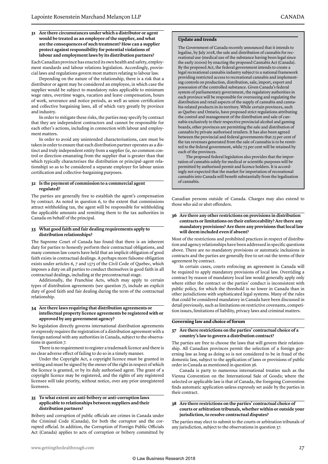#### **31 Are there circumstances under which a distributor or agent would be treated as an employee of the supplier, and what are the consequences of such treatment? How can a supplier protect against responsibility for potential violations of labour and employment laws by its distribution partners?**

Each Canadian province has enacted its own health and safety, employment standards and labour relations legislation. Accordingly, provincial laws and regulations govern most matters relating to labour law.

Depending on the nature of the relationship, there is a risk that a distributor or agent may be considered an employee, in which case the supplier would be subject to mandatory rules applicable to minimum wage rates, overtime wages, vacation and leave compensation, hours of work, severance and notice periods, as well as union certification and collective bargaining laws, all of which vary greatly by province and industry.

In order to mitigate these risks, the parties may specify by contract that they are independent contractors and cannot be responsible for each other's actions, including in connection with labour and employment matters.

In order to avoid any unintended characterisations, care must be taken in order to ensure that each distribution partner operates as a distinct and truly independent entity from a supplier (ie, no common control or direction emanating from the supplier that is greater than that which typically characterises the distribution or principal–agent relationship) so as to be considered a separate employer for labour union certification and collective-bargaining purposes.

#### **32 Is the payment of commission to a commercial agent regulated?**

The parties are generally free to establish the agent's compensation by contract. As noted in question 6, to the extent that commissions attract withholding tax, the agent will be responsible for withholding the applicable amounts and remitting them to the tax authorities in Canada on behalf of the principal.

#### **33 What good faith and fair dealing requirements apply to distribution relationships?**

The Supreme Court of Canada has found that there is an inherent duty for parties to honestly perform their contractual obligations, and many common law courts have held that an implicit obligation of good faith exists in contractual dealings. A perhaps more fulsome obligation exists under articles 6, 7 and 1375 of the Civil Code of Quebec, which imposes a duty on all parties to conduct themselves in good faith in all contractual dealings, including at the precontractual stage.

Additionally, the Franchise Acts, which may apply to certain types of distribution agreements (see question 7), include an explicit duty of good faith and fair dealing during the term of the contractual relationship.

#### **34 Are there laws requiring that distribution agreements or intellectual property licence agreements be registered with or approved by any government agency?**

No legislation directly governs international distribution agreements or expressly requires the registration of a distribution agreement with a foreign national with any authorities in Canada, subject to the observations in question 7.

There is no requirement to register a trademark licence and there is no clear adverse effect of failing to do so in a timely manner.

Under the Copyright Act, a copyright licence must be granted in writing and must be signed by the owner of the right in respect of which the licence is granted, or by its duly authorised agent. The grant of a copyright licence may be registered, and the rights of any registered licensee will take priority, without notice, over any prior unregistered licensees.

#### **35 To what extent are anti-bribery or anti-corruption laws applicable to relationships between suppliers and their distribution partners?**

Bribery and corruption of public officials are crimes in Canada under the Criminal Code (Canada), for both the corruptor and the corrupted official. In addition, the Corruption of Foreign Public Officials Act (Canada) applies to acts of corruption or bribery committed by The Government of Canada recently announced that it intends to legalise, by July 2018, the sale and distribution of cannabis for recreational use (medical use of the substance having been legal since the early 2000s) by enacting the proposed Cannabis Act (Canada). By the proposed Act, the federal government intends to create a legal recreational cannabis industry subject to a national framework providing restricted access to recreational cannabis and implementing controls on production, distribution, sale, import, export and possession of the controlled substance. Given Canada's federal system of parliamentary government, the regulatory authorities in each province will be responsible for overseeing and regulating the distribution and retail aspects of the supply of cannabis and cannabis-related products in its territory. While certain provinces, such as Quebec and Ontario, have proposed strict regulations attributing the control and management of the distribution and sale of cannabis exclusively to their respective provincial alcohol and gaming boards, other provinces are permitting the sale and distribution of cannabis by private authorised retailers. It has also been agreed between the provincial and federal governments that 25 per cent of the tax revenues generated from the sale of cannabis is to be remitted to the federal government, while 75 per cent will be retained by each of the provinces.

The proposed federal legislation also provides that the importation of cannabis solely for medical or scientific purposes will be permitted by authorised permit and licence holders. It is accordingly not expected that the market for importation of recreational cannabis into Canada will benefit substantially from the legalisation of cannabis.

Canadian persons outside of Canada. Charges may also extend to those who aid or abet offenders.

#### **36 Are there any other restrictions on provisions in distribution contracts or limitations on their enforceability? Are there any mandatory provisions? Are there any provisions that local law will deem included even if absent?**

Most of the restrictions and prohibited practices in respect of distribution and agency relationships have been addressed in specific questions above. There are no mandatory provisions or automatic inclusions in contracts and the parties are generally free to set out the terms of their agreement by contract.

In certain cases, courts enforcing an agreement in Canada will be required to apply mandatory provisions of local law. Overriding a contract by reason of mandatory local law would generally apply only where either the contract or the parties' conduct is inconsistent with public policy, for which the threshold is no lower in Canada than in other jurisdictions with sophisticated legal systems. Many of the rules that could be considered mandatory in Canada have been discussed in detail previously, such as limitations on restrictive covenants, competition issues, limitations of liability, privacy laws and criminal matters.

#### **Governing law and choice of forum**

#### **37 Are there restrictions on the parties' contractual choice of a country's law to govern a distribution contract?**

The parties are free to choose the laws that will govern their relationship. All Canadian provinces permit the selection of a foreign governing law as long as doing so is not considered to be in fraud of the domestic law, subject to the application of laws or provisions of public order in Canada as mentioned in question 36.

Canada is party to numerous international treaties such as the Vienna Convention on the International Sale of Goods; where the selected or applicable law is that of Canada, the foregoing Convention finds automatic application unless expressly set aside by the parties in their contract.

#### **38 Are there restrictions on the parties' contractual choice of courts or arbitration tribunals, whether within or outside your jurisdiction, to resolve contractual disputes?**

The parties may elect to submit to the courts or arbitration tribunals of any jurisdiction, subject to the observations in question 37.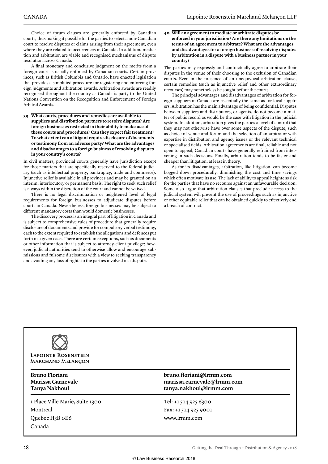Choice of forum clauses are generally enforced by Canadian courts, thus making it possible for the parties to select a non-Canadian court to resolve disputes or claims arising from their agreement, even where they are related to occurrences in Canada. In addition, mediation and arbitration are viable and recognised mechanisms of dispute resolution across Canada.

A final monetary and conclusive judgment on the merits from a foreign court is usually enforced by Canadian courts. Certain provinces, such as British Columbia and Ontario, have enacted legislation that provides a simplified procedure for registering and enforcing foreign judgments and arbitration awards. Arbitration awards are readily recognised throughout the country as Canada is party to the United Nations Convention on the Recognition and Enforcement of Foreign Arbitral Awards.

**39 What courts, procedures and remedies are available to suppliers and distribution partners to resolve disputes? Are foreign businesses restricted in their ability to make use of these courts and procedures? Can they expect fair treatment? To what extent can a litigant require disclosure of documents or testimony from an adverse party? What are the advantages and disadvantages to a foreign business of resolving disputes in your country's courts?** 

In civil matters, provincial courts generally have jurisdiction except for those matters that are specifically reserved to the federal judiciary (such as intellectual property, bankruptcy, trade and commerce). Injunctive relief is available in all provinces and may be granted on an interim, interlocutory or permanent basis. The right to seek such relief is always within the discretion of the court and cannot be waived.

There is no legal discrimination or heightened level of legal requirements for foreign businesses to adjudicate disputes before courts in Canada. Nevertheless, foreign businesses may be subject to different mandatory costs than would domestic businesses.

The discovery process is an integral part of litigation in Canada and is subject to comprehensive rules of procedure that generally require disclosure of documents and provide for compulsory verbal testimony, each to the extent required to establish the allegations and defences put forth in a given case. There are certain exceptions, such as documents or other information that is subject to attorney-client privilege; however, judicial authorities tend to otherwise allow and encourage submissions and fulsome disclosures with a view to seeking transparency and avoiding any loss of rights to the parties involved in a dispute.

#### **40 Will an agreement to mediate or arbitrate disputes be enforced in your jurisdiction? Are there any limitations on the terms of an agreement to arbitrate? What are the advantages and disadvantages for a foreign business of resolving disputes by arbitration in a dispute with a business partner in your country?**

The parties may expressly and contractually agree to arbitrate their disputes in the venue of their choosing to the exclusion of Canadian courts. Even in the presence of an unequivocal arbitration clause, certain remedies (such as injunctive relief and other extraordinary recourses) may nonetheless be sought before the courts.

The principal advantages and disadvantages of arbitration for foreign suppliers in Canada are essentially the same as for local suppliers. Arbitration has the main advantage of being confidential. Disputes between suppliers and distributors, or agents, do not become a matter of public record as would be the case with litigation in the judicial system. In addition, arbitration gives the parties a level of control that they may not otherwise have over some aspects of the dispute, such as choice of venue and forum and the selection of an arbitrator with expertise in distribution and agency issues or the relevant technical or specialised fields. Arbitration agreements are final, reliable and not open to appeal; Canadian courts have generally refrained from intervening in such decisions. Finally, arbitration tends to be faster and cheaper than litigation, at least in theory.

As for its disadvantages, arbitration, like litigation, can become bogged down procedurally, diminishing the cost and time savings which often motivate its use. The lack of ability to appeal heightens risk for the parties that have no recourse against an unfavourable decision. Some also argue that arbitration clauses that preclude access to the judicial system will prevent the use of proceedings such as injunctive or other equitable relief that can be obtained quickly to effectively end a breach of contract.



**LAPOINTE ROSENSTEIN MARCHAND MELANÇON** 

1 Place Ville Marie, Suite 1300 Montreal Quebec H3B 0E6 Canada

#### **Bruno Floriani bruno.floriani@lrmm.com Marissa Carnevale marissa.carnevale@lrmm.com Tanya Nakhoul tanya.nakhoul@lrmm.com**

Tel: +1 514 925 6300 Fax: +1 514 925 9001 www.lrmm.com